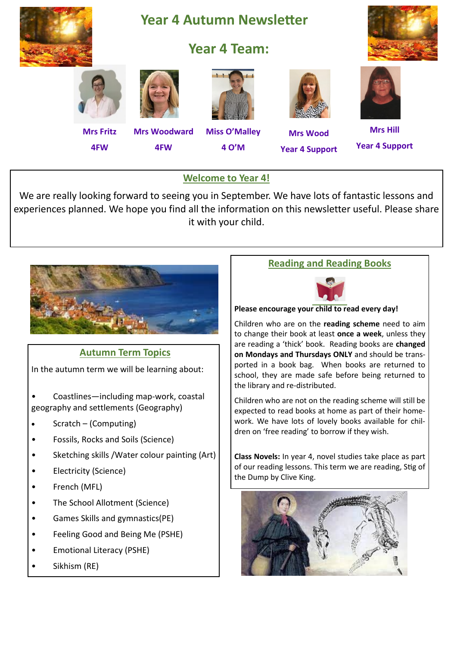

## **Welcome to Year 4!**

We are really looking forward to seeing you in September. We have lots of fantastic lessons and experiences planned. We hope you find all the information on this newsletter useful. Please share it with your child.



## **Autumn Term Topics**

In the autumn term we will be learning about:

• Coastlines—including map-work, coastal geography and settlements (Geography)

- Scratch (Computing)
- Fossils, Rocks and Soils (Science)
- Sketching skills /Water colour painting (Art)
- Electricity (Science)
- French (MFL)
- The School Allotment (Science)
- Games Skills and gymnastics(PE)
- Feeling Good and Being Me (PSHE)
- Emotional Literacy (PSHE)
- Sikhism (RE)

# **Reading and Reading Books**



#### **Please encourage your child to read every day!**

Children who are on the **reading scheme** need to aim to change their book at least **once a week**, unless they are reading a 'thick' book. Reading books are **changed on Mondays and Thursdays ONLY** and should be transported in a book bag. When books are returned to school, they are made safe before being returned to the library and re-distributed.

Children who are not on the reading scheme will still be expected to read books at home as part of their homework. We have lots of lovely books available for children on 'free reading' to borrow if they wish.

**Class Novels:** In year 4, novel studies take place as part of our reading lessons. This term we are reading, Stig of the Dump by Clive King.

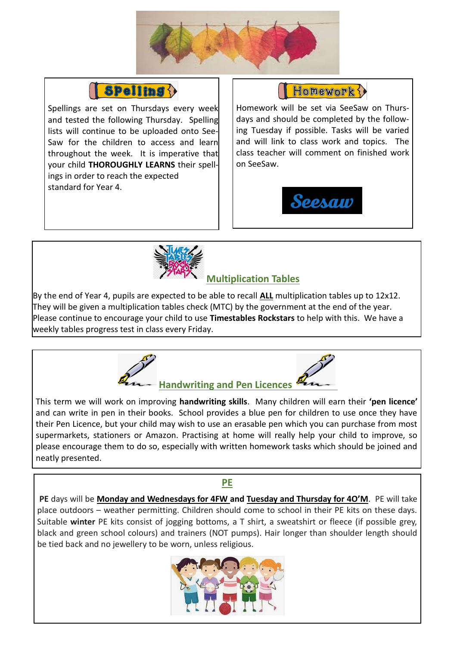



Spellings are set on Thursdays every week and tested the following Thursday. Spelling lists will continue to be uploaded onto See-Saw for the children to access and learn throughout the week. It is imperative that your child **THOROUGHLY LEARNS** their spellings in order to reach the expected standard for Year 4.

Homework ?

Homework will be set via SeeSaw on Thursdays and should be completed by the following Tuesday if possible. Tasks will be varied and will link to class work and topics. The class teacher will comment on finished work on SeeSaw.





# **Multiplication Tables**

By the end of Year 4, pupils are expected to be able to recall **ALL** multiplication tables up to 12x12. They will be given a multiplication tables check (MTC) by the government at the end of the year. Please continue to encourage your child to use **Timestables Rockstars** to help with this. We have a weekly tables progress test in class every Friday.



This term we will work on improving **handwriting skills**. Many children will earn their **'pen licence'**  and can write in pen in their books. School provides a blue pen for children to use once they have their Pen Licence, but your child may wish to use an erasable pen which you can purchase from most supermarkets, stationers or Amazon. Practising at home will really help your child to improve, so please encourage them to do so, especially with written homework tasks which should be joined and neatly presented.

## **PE**

**PE** days will be **Monday and Wednesdays for 4FW and Tuesday and Thursday for 4O'M**. PE will take place outdoors – weather permitting. Children should come to school in their PE kits on these days. Suitable **winter** PE kits consist of jogging bottoms, a T shirt, a sweatshirt or fleece (if possible grey, black and green school colours) and trainers (NOT pumps). Hair longer than shoulder length should be tied back and no jewellery to be worn, unless religious.